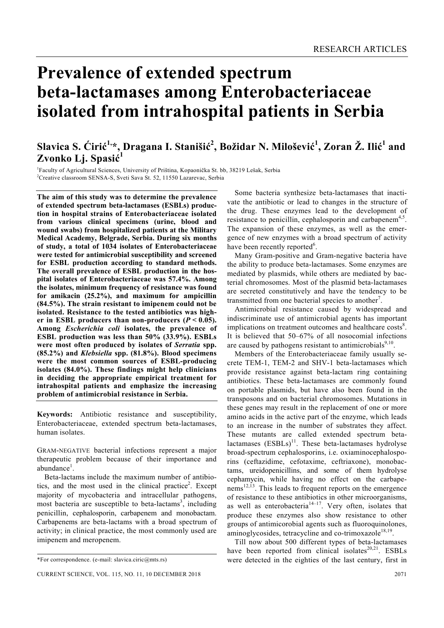# **Prevalence of extended spectrum beta-lactamases among Enterobacteriaceae isolated from intrahospital patients in Serbia**

# $\mathbf{S}$ lavica S. Ćirić $^{1,*}$ , Dragana I. Stanišić $^{2}$ , Božidar N. Milošević $^{1}$ , Zoran Ž. Ilić $^{1}$  and **Zvonko Lj. Spasić 1**

<sup>1</sup> Faculty of Agricultural Sciences, University of Priština, Kopaonička St. bb, 38219 Lešak, Serbia <sup>2</sup>Creative elegation SENS A. S. Synti Save St. 52, 11550 Legatives, Serbia <sup>2</sup>Creative classroom SENSA-S, Sveti Sava St. 52, 11550 Lazarevac, Serbia

**The aim of this study was to determine the prevalence of extended spectrum beta-lactamases (ESBLs) production in hospital strains of Enterobacteriaceae isolated from various clinical specimens (urine, blood and wound swabs) from hospitalized patients at the Military Medical Academy, Belgrade, Serbia. During six months of study, a total of 1034 isolates of Enterobacteriaceae were tested for antimicrobial susceptibility and screened for ESBL production according to standard methods. The overall prevalence of ESBL production in the hospital isolates of Enterobacteriaceae was 57.4%. Among the isolates, minimum frequency of resistance was found for amikacin (25.2%), and maximum for ampicillin (84.5%). The strain resistant to imipenem could not be isolated. Resistance to the tested antibiotics was high**er in ESBL producers than non-producers  $(P < 0.05)$ . **Among** *Escherichia coli* **isolates, the prevalence of ESBL production was less than 50% (33.9%). ESBLs were most often produced by isolates of** *Serratia* **spp. (85.2%) and** *Klebsiella* **spp. (81.8%). Blood specimens were the most common sources of ESBL-producing isolates (84.0%). These findings might help clinicians in deciding the appropriate empirical treatment for intrahospital patients and emphasize the increasing problem of antimicrobial resistance in Serbia.** 

**Keywords:** Antibiotic resistance and susceptibility, Enterobacteriaceae, extended spectrum beta-lactamases, human isolates.

GRAM-NEGATIVE bacterial infections represent a major therapeutic problem because of their importance and abundance<sup>1</sup>.

 Beta-lactams include the maximum number of antibiotics, and the most used in the clinical practice<sup>2</sup>. Except majority of mycobacteria and intracellular pathogens, most bacteria are susceptible to beta-lactams<sup>3</sup>, including penicillin, cephalosporin, carbapenem and monobactam. Carbapenems are beta-lactams with a broad spectrum of activity; in clinical practice, the most commonly used are imipenem and meropenem.

 Some bacteria synthesize beta-lactamases that inactivate the antibiotic or lead to changes in the structure of the drug. These enzymes lead to the development of resistance to penicillin, cephalosporin and carbapenem<sup>4,5</sup>. The expansion of these enzymes, as well as the emergence of new enzymes with a broad spectrum of activity have been recently reported<sup>6</sup>.

 Many Gram-positive and Gram-negative bacteria have the ability to produce beta-lactamases. Some enzymes are mediated by plasmids, while others are mediated by bacterial chromosomes. Most of the plasmid beta-lactamases are secreted constitutively and have the tendency to be transmitted from one bacterial species to another<sup>7</sup>.

 Antimicrobial resistance caused by widespread and indiscriminate use of antimicrobial agents has important implications on treatment outcomes and healthcare costs<sup>8</sup>. It is believed that 50–67% of all nosocomial infections are caused by pathogens resistant to antimicrobials $9,10$ .

 Members of the Enterobacteriaceae family usually secrete TEM-1, TEM-2 and SHV-1 beta-lactamases which provide resistance against beta-lactam ring containing antibiotics. These beta-lactamases are commonly found on portable plasmids, but have also been found in the transposons and on bacterial chromosomes. Mutations in these genes may result in the replacement of one or more amino acids in the active part of the enzyme, which leads to an increase in the number of substrates they affect. These mutants are called extended spectrum betalactamases  $(ESBLs)^{11}$ . These beta-lactamases hydrolyse broad-spectrum cephalosporins, i.e. oxiaminocephalosporins (ceftazidime, cefotaxime, ceftriaxone), monobactams, ureidopenicillins, and some of them hydrolyse cephamycin, while having no effect on the carbape $n_{\text{e}}^{\text{12,13}}$ . This leads to frequent reports on the emergence of resistance to these antibiotics in other microorganisms, as well as enterobacteria<sup>14-17</sup>. Very often, isolates that produce these enzymes also show resistance to other groups of antimicorobial agents such as fluoroquinolones, aminoglycosides, tetracycline and co-trimoxazole<sup>18,19</sup>.

 Till now about 500 different types of beta-lactamases have been reported from clinical isolates $20,21$ . ESBLs were detected in the eighties of the last century, first in

<sup>\*</sup>For correspondence. (e-mail: slavica.ciric@mts.rs)

CURRENT SCIENCE, VOL. 115, NO. 11, 10 DECEMBER 2018 2071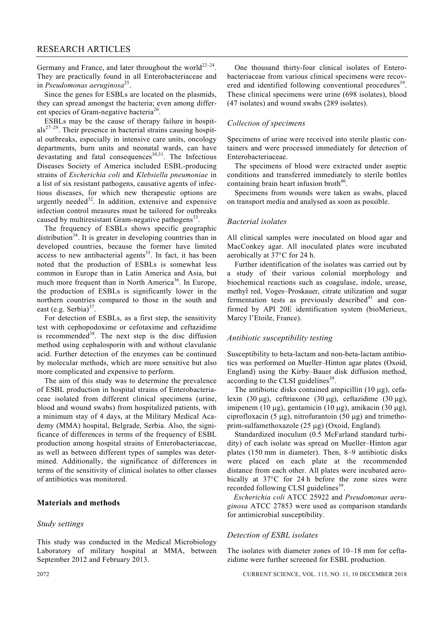Germany and France, and later throughout the world<sup>22-24</sup>. They are practically found in all Enterobacteriaceae and in *Pseudomonas aeruginosa*25.

 Since the genes for ESBLs are located on the plasmids, they can spread amongst the bacteria; even among different species of Gram-negative bacteria<sup>26</sup>.

 ESBLs may be the cause of therapy failure in hospit $als<sup>27-29</sup>$ . Their presence in bacterial strains causing hospital outbreaks, especially in intensive care units, oncology departments, burn units and neonatal wards, can have devastating and fatal consequences<sup>30,31</sup>. The Infectious Diseases Society of America included ESBL-producing strains of *Escherichia coli* and *Klebsiella pneumoniae* in a list of six resistant pathogens, causative agents of infectious diseases, for which new therapeutic options are urgently needed $32$ . In addition, extensive and expensive infection control measures must be tailored for outbreaks caused by multiresistant Gram-negative pathogens $^{33}$ .

 The frequency of ESBLs shows specific geographic distribution $34$ . It is greater in developing countries than in developed countries, because the former have limited  $access to new antibacterial agents<sup>35</sup>. In fact, it has been$ noted that the production of ESBLs is somewhat less common in Europe than in Latin America and Asia, but much more frequent than in North America<sup>36</sup>. In Europe, the production of ESBLs is significantly lower in the northern countries compared to those in the south and east (e.g. Serbia) $37$ 

 For detection of ESBLs, as a first step, the sensitivity test with cephopodoxime or cefotaxime and ceftazidime is recommended<sup>38</sup>. The next step is the disc diffusion method using cephalosporin with and without clavulanic acid. Further detection of the enzymes can be continued by molecular methods, which are more sensitive but also more complicated and expensive to perform.

 The aim of this study was to determine the prevalence of ESBL production in hospital strains of Enterobacteriaceae isolated from different clinical specimens (urine, blood and wound swabs) from hospitalized patients, with a minimum stay of 4 days, at the Military Medical Academy (MMA) hospital, Belgrade, Serbia. Also, the significance of differences in terms of the frequency of ESBL production among hospital strains of Enterobacteriaceae, as well as between different types of samples was determined. Additionally, the significance of differences in terms of the sensitivity of clinical isolates to other classes of antibiotics was monitored.

# **Materials and methods**

#### *Study settings*

This study was conducted in the Medical Microbiology Laboratory of military hospital at MMA, between September 2012 and February 2013.

 One thousand thirty-four clinical isolates of Enterobacteriaceae from various clinical specimens were recovered and identified following conventional procedures<sup>39</sup>. These clinical specimens were urine (698 isolates), blood (47 isolates) and wound swabs (289 isolates).

# *Collection of specimens*

Specimens of urine were received into sterile plastic containers and were processed immediately for detection of Enterobacteriaceae.

 The specimens of blood were extracted under aseptic conditions and transferred immediately to sterile bottles containing brain heart infusion broth<sup>40</sup>.

 Specimens from wounds were taken as swabs, placed on transport media and analysed as soon as possible.

#### *Bacterial isolates*

All clinical samples were inoculated on blood agar and MacConkey agar. All inoculated plates were incubated aerobically at 37°C for 24 h.

 Further identification of the isolates was carried out by a study of their various colonial morphology and biochemical reactions such as coagulase, indole, urease, methyl red, Voges–Proskauer, citrate utilization and sugar fermentation tests as previously described $41$  and confirmed by API 20E identification system (bioMerieux, Marcy l'Etoile, France).

#### *Antibiotic susceptibility testing*

Susceptibility to beta-lactam and non-beta-lactam antibiotics was performed on Mueller–Hinton agar plates (Oxoid, England) using the Kirby–Bauer disk diffusion method, according to the CLSI guidelines<sup>39</sup>.

 The antibiotic disks contained ampicillin (10 μg), cefalexin (30 μg), ceftriaxone (30 μg), ceftazidime (30 μg), imipenem (10 μg), gentamicin (10 μg), amikacin (30 μg), ciprofloxacin (5 μg), nitrofurantoin (50 μg) and trimethoprim-sulfamethoxazole (25 μg) (Oxoid, England).

 Standardized inoculum (0.5 McFarland standard turbidity) of each isolate was spread on Mueller–Hinton agar plates (150 mm in diameter). Then, 8–9 antibiotic disks were placed on each plate at the recommended distance from each other. All plates were incubated aerobically at 37°C for 24 h before the zone sizes were recorded following CLSI guidelines<sup>39</sup>.

 *Escherichia coli* ATCC 25922 and *Pseudomonas aeruginosa* ATCC 27853 were used as comparison standards for antimicrobial susceptibility.

#### *Detection of ESBL isolates*

The isolates with diameter zones of 10–18 mm for ceftazidime were further screened for ESBL production.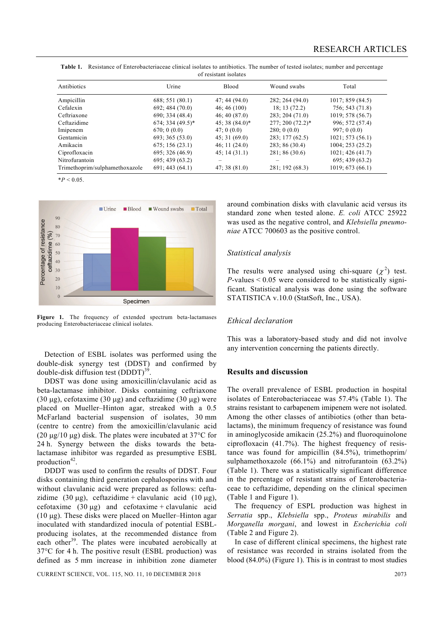| Antibiotics                    | Urine               | <b>Blood</b>   | Wound swabs      | Total            |
|--------------------------------|---------------------|----------------|------------------|------------------|
| Ampicillin                     | 688; 551 (80.1)     | 47; 44(94.0)   | 282; 264 (94.0)  | 1017; 859(84.5)  |
| Cefalexin                      | 692; 484(70.0)      | 46; 46(100)    | 18; 13(72.2)     | 756; 543(71.8)   |
| Ceftriaxone                    | 690; 334(48.4)      | 46; 40(87.0)   | 283; 204 (71.0)  | 1019; 578(56.7)  |
| Ceftazidime                    | $674; 334 (49.5)^*$ | $45;38(84.0)*$ | 277; 200 (72.2)* | 996; 572 (57.4)  |
| Imipenem                       | 670:0(0.0)          | 47:0(0.0)      | 280; 0(0.0)      | 997:0(0.0)       |
| Gentamicin                     | 693; 365(53.0)      | 45:31(69.0)    | 283; 177(62.5)   | 1021; 573(56.1)  |
| Amikacin                       | 675; 156(23.1)      | 46; 11(24.0)   | 283; 86 (30.4)   | 1004; 253 (25.2) |
| Ciprofloxacin                  | 695; 326(46.9)      | 45; 14(31.1)   | 281; 86(30.6)    | 1021; 426(41.7)  |
| Nitrofurantoin                 | 695; 439(63.2)      |                |                  | 695; 439 (63.2)  |
| Trimethoprim/sulphamethoxazole | 691; 443(64.1)      | 47; 38(81.0)   | 281; 192 (68.3)  | 1019; 673(66.1)  |

**Table 1.** Resistance of Enterobacteriaceae clinical isolates to antibiotics. The number of tested isolates; number and percentage of resistant isolates

 $*P < 0.05$ .



**Figure 1.** The frequency of extended spectrum beta-lactamases producing Enterobacteriaceae clinical isolates.

 Detection of ESBL isolates was performed using the double-disk synergy test (DDST) and confirmed by double-disk diffusion test  $(DDDT)^{39}$ 

 DDST was done using amoxicillin/clavulanic acid as beta-lactamase inhibitor. Disks containing ceftriaxone (30 μg), cefotaxime (30 μg) and ceftazidime (30 μg) were placed on Mueller–Hinton agar, streaked with a 0.5 McFarland bacterial suspension of isolates, 30 mm (centre to centre) from the amoxicillin/clavulanic acid (20  $\mu$ g/10  $\mu$ g) disk. The plates were incubated at 37°C for 24 h. Synergy between the disks towards the betalactamase inhibitor was regarded as presumptive ESBL production $42$ .

 DDDT was used to confirm the results of DDST. Four disks containing third generation cephalosporins with and without clavulanic acid were prepared as follows: ceftazidime (30 μg), ceftazidime + clavulanic acid (10 μg), cefotaxime  $(30 \mu g)$  and cefotaxime + clavulanic acid (10 μg). These disks were placed on Mueller–Hinton agar inoculated with standardized inocula of potential ESBLproducing isolates, at the recommended distance from each other<sup>39</sup>. The plates were incubated aerobically at 37°C for 4 h. The positive result (ESBL production) was defined as 5 mm increase in inhibition zone diameter

CURRENT SCIENCE, VOL. 115, NO. 11, 10 DECEMBER 2018 2073

around combination disks with clavulanic acid versus its standard zone when tested alone. *E. coli* ATCC 25922 was used as the negative control, and *Klebsiella pneumoniae* ATCC 700603 as the positive control.

# *Statistical analysis*

The results were analysed using chi-square  $(\chi^2)$  test.  $P$ -values  $\leq 0.05$  were considered to be statistically significant. Statistical analysis was done using the software STATISTICA v.10.0 (StatSoft, Inc., USA).

## *Ethical declaration*

This was a laboratory-based study and did not involve any intervention concerning the patients directly.

# **Results and discussion**

The overall prevalence of ESBL production in hospital isolates of Enterobacteriaceae was 57.4% (Table 1). The strains resistant to carbapenem imipenem were not isolated. Among the other classes of antibiotics (other than betalactams), the minimum frequency of resistance was found in aminoglycoside amikacin (25.2%) and fluoroquinolone ciprofloxacin (41.7%). The highest frequency of resistance was found for ampicillin (84.5%), trimethoprim/ sulphamethoxazole (66.1%) and nitrofurantoin (63.2%) (Table 1). There was a statistically significant difference in the percentage of resistant strains of Enterobacteriaceae to ceftazidime, depending on the clinical specimen (Table 1 and Figure 1).

 The frequency of ESPL production was highest in *Serratia* spp., *Klebsiella* spp., *Proteus mirabilis* and *Morganella morgani*, and lowest in *Escherichia coli* (Table 2 and Figure 2).

 In case of different clinical specimens, the highest rate of resistance was recorded in strains isolated from the blood (84.0%) (Figure 1). This is in contrast to most studies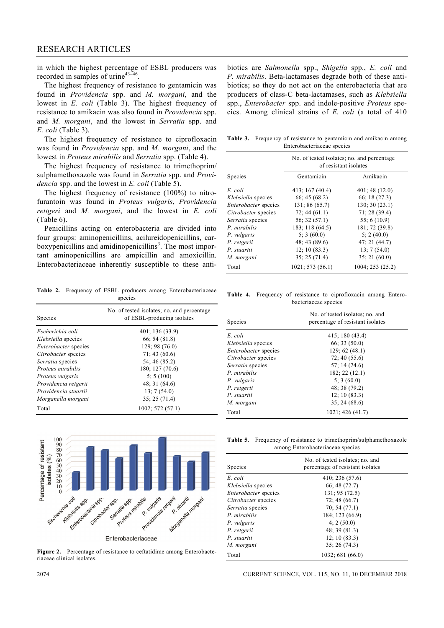in which the highest percentage of ESBL producers was recorded in samples of urine<sup>43–46</sup>.

 The highest frequency of resistance to gentamicin was found in *Providencia* spp. and *M. morgani*, and the lowest in *E. coli* (Table 3). The highest frequency of resistance to amikacin was also found in *Providencia* spp. and *M. morgani*, and the lowest in *Serratia* spp. and *E. coli* (Table 3).

 The highest frequency of resistance to ciprofloxacin was found in *Providencia* spp. and *M. morgani*, and the lowest in *Proteus mirabilis* and *Serratia* spp. (Table 4).

 The highest frequency of resistance to trimethoprim/ sulphamethoxazole was found in *Serratia* spp. and *Providencia* spp. and the lowest in *E. coli* (Table 5).

 The highest frequency of resistance (100%) to nitrofurantoin was found in *Proteus vulgaris*, *Providencia rettgeri* and *M. morgani*, and the lowest in *E. coli* (Table 6).

 Penicillins acting on enterobacteria are divided into four groups: aminopenicillins, acilureidopenicillins, carboxypenicillins and amidinopenicillins<sup>3</sup>. The most important aminopenicillins are ampicillin and amoxicillin. Enterobacteriaceae inherently susceptible to these anti-

**Table 2.** Frequency of ESBL producers among Enterobacteriaceae species

| <b>Species</b>              | No. of tested isolates; no. and percentage<br>of ESBL-producing isolates |  |  |
|-----------------------------|--------------------------------------------------------------------------|--|--|
| Escherichia coli            | 401; 136 (33.9)                                                          |  |  |
| Klebsiella species          | 66: 54(81.8)                                                             |  |  |
| <i>Enterobacter</i> species | 129: 98 (76.0)                                                           |  |  |
| Citrobacter species         | 71:43(60.6)                                                              |  |  |
| Serratia species            | 54: 46 (85.2)                                                            |  |  |
| Proteus mirabilis           | 180; 127 (70.6)                                                          |  |  |
| Proteus vulgaris            | 5:5(100)                                                                 |  |  |
| Providencia retgerii        | 48; 31(64.6)                                                             |  |  |
| Providencia stuartii        | 13:7(54.0)                                                               |  |  |
| Morganella morgani          | 35:25(71.4)                                                              |  |  |
| Total                       | 1002; 572(57.1)                                                          |  |  |



**Figure 2.** Percentage of resistance to ceftatidime among Enterobacteriaceae clinical isolates.

biotics are *Salmonella* spp., *Shigella* spp., *E. coli* and *P. mirabilis*. Beta-lactamases degrade both of these antibiotics; so they do not act on the enterobacteria that are producers of class-C beta-lactamases, such as *Klebsiella*  spp., *Enterobacter* spp. and indole-positive *Proteus* species. Among clinical strains of *E. coli* (a total of 410

**Table 3.** Frequency of resistance to gentamicin and amikacin among Enterobacteriaceae species

|                             | No. of tested isolates; no. and percentage<br>of resistant isolates |                  |  |  |
|-----------------------------|---------------------------------------------------------------------|------------------|--|--|
| Species                     | Gentamicin                                                          | Amikacin         |  |  |
| E. coli                     | 413; 167 (40.4)                                                     | 401; 48(12.0)    |  |  |
| Klebsiella species          | 66:45(68.2)                                                         | 66:18(27.3)      |  |  |
| <i>Enterobacter</i> species | 131; 86 (65.7)                                                      | 130; 30(23.1)    |  |  |
| Citrobacter species         | 72; 44(61.1)                                                        | 71:28(39.4)      |  |  |
| Serratia species            | 56:32(57.1)                                                         | 55; 6(10.9)      |  |  |
| P. mirabilis                | 183; 118 (64.5)                                                     | 181; 72 (39.8)   |  |  |
| P. vulgaris                 | 5:3(60.0)                                                           | 5:2(40.0)        |  |  |
| P. retgerii                 | 48; 43 (89.6)                                                       | 47; 21(44.7)     |  |  |
| P. stuartii                 | 12:10(83.3)                                                         | 13; 7(54.0)      |  |  |
| M. morgani                  | 35; 25(71.4)                                                        | 35:21(60.0)      |  |  |
| Total                       | 1021; 573(56.1)                                                     | 1004; 253 (25.2) |  |  |

**Table 4.** Frequency of resistance to ciprofloxacin among Entero bacteriaceae species

| <b>Species</b>              | No. of tested isolates; no. and<br>percentage of resistant isolates |  |  |  |
|-----------------------------|---------------------------------------------------------------------|--|--|--|
| E. coli                     | 415; 180 (43.4)                                                     |  |  |  |
| <i>Klebsiella</i> species   | 66; 33(50.0)                                                        |  |  |  |
| <i>Enterobacter</i> species | 129; 62 (48.1)                                                      |  |  |  |
| Citrobacter species         | 72; 40(55.6)                                                        |  |  |  |
| Serratia species            | 57:14(24.6)                                                         |  |  |  |
| P. mirabilis                | 182; 22 (12.1)                                                      |  |  |  |
| P. vulgaris                 | 5; 3(60.0)                                                          |  |  |  |
| P. retgerii                 | 48:38(79.2)                                                         |  |  |  |
| P. stuartii                 | 12; 10(83.3)                                                        |  |  |  |
| M. morgani                  | 35:24(68.6)                                                         |  |  |  |
| Total                       | $1021$ ; 426 (41.7)                                                 |  |  |  |

Table 5. Frequency of resistance to trimethoprim/sulphamethoxazole among Enterobacteriaceae species

| <b>Species</b>              | No. of tested isolates; no. and<br>percentage of resistant isolates |  |  |
|-----------------------------|---------------------------------------------------------------------|--|--|
| E. coli                     | 410; 236(57.6)                                                      |  |  |
| Klebsiella species          | 66; 48(72.7)                                                        |  |  |
| <i>Enterobacter</i> species | 131; 95 (72.5)                                                      |  |  |
| Citrobacter species         | 72;48(66.7)                                                         |  |  |
| Serratia species            | 70; 54(77.1)                                                        |  |  |
| P. mirabilis                | 184; 123 (66.9)                                                     |  |  |
| P. vulgaris                 | 4:2(50.0)                                                           |  |  |
| P. retgerii                 | 48; 39(81.3)                                                        |  |  |
| P. stuartii                 | 12:10(83.3)                                                         |  |  |
| M. morgani                  | 35:26(74.3)                                                         |  |  |
| Total                       | 1032; 681 (66.0)                                                    |  |  |

#### 2074 CURRENT SCIENCE, VOL. 115, NO. 11, 10 DECEMBER 2018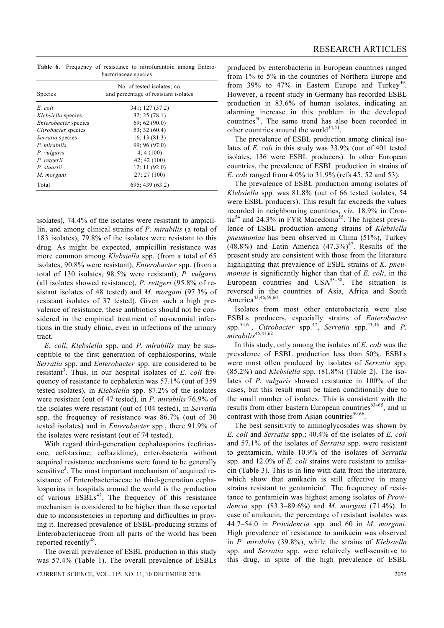|                      |  |  |  | <b>Table 6.</b> Frequency of resistance to nitrofurantoin among Entero- |  |  |
|----------------------|--|--|--|-------------------------------------------------------------------------|--|--|
| bacteriaceae species |  |  |  |                                                                         |  |  |

| <b>Species</b>              | No. of tested isolates; no.<br>and percentage of resistant isolates |  |  |  |
|-----------------------------|---------------------------------------------------------------------|--|--|--|
| E. coli                     | 341; 127 (37.2)                                                     |  |  |  |
| Klebsiella species          | 32; 25(78.1)                                                        |  |  |  |
| <i>Enterobacter</i> species | 69; 62 (90.0)                                                       |  |  |  |
| Citrobacter species         | 53:32(60.4)                                                         |  |  |  |
| Serratia species            | 16:13(81.3)                                                         |  |  |  |
| P. mirabilis                | 99:96(97.0)                                                         |  |  |  |
| P. vulgaris                 | 4:4(100)                                                            |  |  |  |
| P. retgerii                 | 42; 42(100)                                                         |  |  |  |
| P. stuartii                 | 12:11(92.0)                                                         |  |  |  |
| M. morgani                  | 27:27(100)                                                          |  |  |  |
| Total                       | 695; 439 (63.2)                                                     |  |  |  |

isolates), 74.4% of the isolates were resistant to ampicillin, and among clinical strains of *P. mirabilis* (a total of 183 isolates), 79.8% of the isolates were resistant to this drug. As might be expected, ampicillin resistance was more common among *Klebsiella* spp. (from a total of 65 isolates, 90.8% were resistant), *Enterobacter* spp. (from a total of 130 isolates, 98.5% were resistant), *P. vulgaris* (all isolates showed resistance), *P. rettgeri* (95.8% of resistant isolates of 48 tested) and *M. morgani* (97.3% of resistant isolates of 37 tested). Given such a high prevalence of resistance, these antibiotics should not be considered in the empirical treatment of nosocomial infections in the study clinic, even in infections of the urinary tract.

*E. coli*, *Klebsiella* spp. and *P. mirabilis* may be susceptible to the first generation of cephalosporins, while *Serratia* spp. and *Enterobacter* spp. are considered to be resistant<sup>3</sup>. Thus, in our hospital isolates of *E. coli* frequency of resistance to cephalexin was 57.1% (out of 359 tested isolates), in *Klebsiella* spp. 87.2% of the isolates were resistant (out of 47 tested), in *P. mirabilis* 76.9% of the isolates were resistant (out of 104 tested), in *Serratia*  spp. the frequency of resistance was 86.7% (out of 30 tested isolates) and in *Enterobacter* spp., there 91.9% of the isolates were resistant (out of 74 tested).

 With regard third-generation cephalosporins (ceftriaxone, cefotaxime, ceftazidime), enterobacteria without acquired resistance mechanisms were found to be generally sensitive<sup>3</sup>. The most important mechanism of acquired resistance of Enterobacteriaceae to third-generation cephalosporins in hospitals around the world is the production of various ESBLs<sup>47</sup>. The frequency of this resistance mechanism is considered to be higher than those reported due to inconsistencies in reporting and difficulties in proving it. Increased prevalence of ESBL-producing strains of Enterobacteriaceae from all parts of the world has been reported recently $48$ .

 The overall prevalence of ESBL production in this study was 57.4% (Table 1). The overall prevalence of ESBLs produced by enterobacteria in European countries ranged from 1% to 5% in the countries of Northern Europe and from 39% to 47% in Eastern Europe and Turkey<sup>49</sup>. However, a recent study in Germany has recorded ESBL production in 83.6% of human isolates, indicating an alarming increase in this problem in the developed countries<sup>50</sup>. The same trend has also been recorded in other countries around the world $34,51$ .

 The prevalence of ESBL production among clinical isolates of *E. coli* in this study was 33.9% (out of 401 tested isolates, 136 were ESBL producers). In other European countries, the prevalence of ESBL production in strains of *E. coli* ranged from 4.0% to 31.9% (refs 45, 52 and 53).

 The prevalence of ESBL production among isolates of *Klebsiella* spp. was 81.8% (out of 66 tested isolates, 54 were ESBL producers). This result far exceeds the values recorded in neighbouring countries, viz. 18.9% in Croatia<sup>54</sup> and 24.3% in FYR Macedonia<sup>55</sup>. The highest prevalence of ESBL production among strains of *Klebsiella pneumoniae* has been observed in China (51%), Turkey  $(48.8\%)$  and Latin America  $(47.3\%)$ <sup>47</sup>. Results of the present study are consistent with those from the literature highlighting that prevalence of ESBL strains of *K. pneumoniae* is significantly higher than that of *E. coli*, in the European countries and  $USA^{55-58}$ . The situation is reversed in the countries of Asia, Africa and South America<sup>43,46,59,60</sup>

 Isolates from most other enterobacteria were also ESBLs producers, especially strains of *Enterobacter*  spp.<sup>52,61</sup>, *Citrobacter* spp.<sup>47</sup>, *Serratia* spp.<sup>43,46</sup> and *P*.  $mirabilis^{45,47,62}$ 

 In this study, only among the isolates of *E. coli* was the prevalence of ESBL production less than 50%. ESBLs were most often produced by isolates of *Serratia* spp. (85.2%) and *Klebsiella* spp. (81.8%) (Table 2). The isolates of *P. vulgaris* showed resistance in 100% of the cases, but this result must be taken conditionally due to the small number of isolates. This is consistent with the results from other Eastern European countries<sup>63-65</sup>, and in contrast with those from Asian countries<sup>59,66</sup>.

 The best sensitivity to aminoglycosides was shown by *E. coli* and *Serratia* spp.; 40.4% of the isolates of *E. coli* and 57.1% of the isolates of *Serratia* spp. were resistant to gentamicin, while 10.9% of the isolates of *Serratia*  spp. and 12.0% of *E. coli* strains were resistant to amikacin (Table 3). This is in line with data from the literature, which show that amikacin is still effective in many strains resistant to gentamicin<sup>3</sup>. The frequency of resistance to gentamicin was highest among isolates of *Providencia* spp. (83.3–89.6%) and *M. morgani* (71.4%). In case of amikacin, the percentage of resistant isolates was 44.7–54.0 in *Providencia* spp. and 60 in *M. morgani*. High prevalence of resistance to amikacin was observed in *P. mirabilis* (39.8%), while the strains of *Klebsiella*  spp. and *Serratia* spp. were relatively well-sensitive to this drug, in spite of the high prevalence of ESBL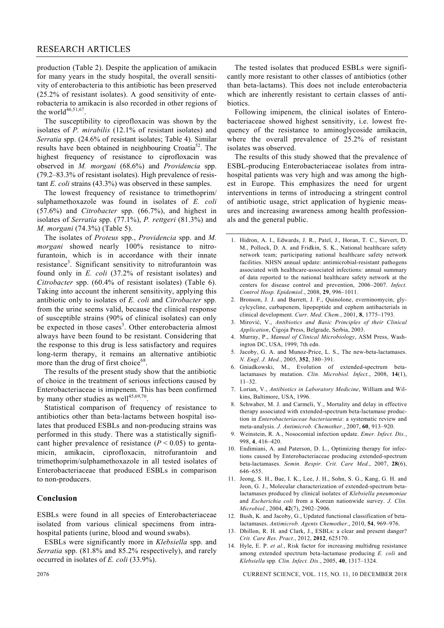production (Table 2). Despite the application of amikacin for many years in the study hospital, the overall sensitivity of enterobacteria to this antibiotic has been preserved (25.2% of resistant isolates). A good sensitivity of enterobacteria to amikacin is also recorded in other regions of the world $46,51,67$ .

 The susceptibility to ciprofloxacin was shown by the isolates of *P. mirabilis* (12.1% of resistant isolates) and *Serratia* spp. (24.6% of resistant isolates; Table 4). Similar results have been obtained in neighbouring Croatia<sup>52</sup>. The highest frequency of resistance to ciprofloxacin was observed in *M. morgani* (68.6%) and *Providencia* spp. (79.2–83.3% of resistant isolates). High prevalence of resistant *E. coli* strains (43.3%) was observed in these samples.

 The lowest frequency of resistance to trimethoprim/ sulphamethoxazole was found in isolates of *E. coli* (57.6%) and *Citrobacter* spp. (66.7%), and highest in isolates of *Serratia* spp. (77.1%), *P. rettgeri* (81.3%) and *M. morgani* (74.3%) (Table 5).

 The isolates of *Proteus* spp., *Providencia* spp. and *M. morgani* showed nearly 100% resistance to nitrofurantoin, which is in accordance with their innate resistance<sup>3</sup>. Significant sensitivity to nitrofurantoin was found only in *E. coli* (37.2% of resistant isolates) and *Citrobacter* spp. (60.4% of resistant isolates) (Table 6). Taking into account the inherent sensitivity, applying this antibiotic only to isolates of *E. coli* and *Citrobacter* spp. from the urine seems valid, because the clinical response of susceptible strains (90% of clinical isolates) can only be expected in those cases<sup>3</sup>. Other enterobacteria almost always have been found to be resistant. Considering that the response to this drug is less satisfactory and requires long-term therapy, it remains an alternative antibiotic more than the drug of first choice $^{68}$ .

 The results of the present study show that the antibiotic of choice in the treatment of serious infections caused by Enterobacteriaceae is imipenem. This has been confirmed by many other studies as well $45,69,70$ .

 Statistical comparison of frequency of resistance to antibiotics other than beta-lactams between hospital isolates that produced ESBLs and non-producing strains was performed in this study. There was a statistically significant higher prevalence of resistance  $(P < 0.05)$  to gentamicin, amikacin, ciprofloxacin, nitrofurantoin and trimethoprim/sulphamethoxazole in all tested isolates of Enterobacteriaceae that produced ESBLs in comparison to non-producers.

# **Conclusion**

ESBLs were found in all species of Enterobacteriaceae isolated from various clinical specimens from intrahospital patients (urine, blood and wound swabs).

 ESBLs were significantly more in *Klebsiella* spp. and *Serratia* spp. (81.8% and 85.2% respectively), and rarely occurred in isolates of *E. coli* (33.9%).

 The tested isolates that produced ESBLs were significantly more resistant to other classes of antibiotics (other than beta-lactams). This does not include enterobacteria which are inherently resistant to certain classes of antibiotics.

 Following imipenem, the clinical isolates of Enterobacteriaceae showed highest sensitivity, i.e. lowest frequency of the resistance to aminoglycoside amikacin, where the overall prevalence of 25.2% of resistant isolates was observed.

 The results of this study showed that the prevalence of ESBL-producing Enterobacteriaceae isolates from intrahospital patients was very high and was among the highest in Europe. This emphasizes the need for urgent interventions in terms of introducing a stringent control of antibiotic usage, strict application of hygienic measures and increasing awareness among health professionals and the general public.

- 1. Hidron, A. I., Edwards, J. R., Patel, J., Horan, T. C., Sievert, D. M., Pollock, D. A. and Fridkin, S. K., National healthcare safety network team; participating national healthcare safety network facilities. NHSN annual update: antimicrobial-resistant pathogens associated with healthcare-associated infections: annual summary of data reported to the national healthcare safety network at the centers for disease control and prevention, 2006–2007. *Infect. Control Hosp. Epidemiol*., 2008, **29**, 996–1011.
- 2. Bronson, J. J. and Barrett, J. F., Quinolone, everninomycin, glycylcycline, carbapenem, lipopeptide and cephem antibacterials in clinical development. *Curr. Med. Chem.*, 2001, **8**, 1775–1793.
- 3. Mirović, V., *Antibiotics and Basic Principles of their Clinical Application*, Čigoja Press, Belgrade, Serbia, 2003.
- 4. Murray, P., *Manual of Clinical Microbiology*, ASM Press, Washington DC, USA, 1999, 7th edn.
- 5. Jacoby, G. A. and Munoz-Price, L. S., The new-beta-lactamases. *N. Engl. J. Med.*, 2005, **352**, 380–391.
- 6. Gniadkowski, M., Evolution of extended-spectrum betalactamases by mutation. *Clin. Microbiol. Infect.*, 2008, **14**(1),  $11-32$
- 7. Lorian, V., *Antibiotics in Laboratory Medicine*, William and Wilkins, Baltimore, USA, 1996.
- 8. Schwaber, M. J. and Carmeli, Y., Mortality and delay in effective therapy associated with extended-spectrum beta-lactamase production in *Enterobacteriaceae bacteriaemia*: a systematic review and meta-analysis. *J. Antimicrob. Chemother.*, 2007, **60**, 913–920.
- 9. Weinstein, R. A., Nosocomial infection update. *Emer. Infect. Dis.*, 998, **4**, 416–420.
- 10. Endimiani, A. and Paterson, D. L., Optimizing therapy for infections caused by Enterobacteriaceae producing extended-spectrum beta-lactamases. *Semin. Respir. Crit. Care Med.*, 2007, **28**(6), 646–655.
- 11. Jeong, S. H., Bae, I. K., Lee, J. H., Sohn, S. G., Kang, G. H. and Jeon, G. J., Molecular characterization of extended-spectrum betalactamases produced by clinical isolates of *Klebsiella pneumoniae* and *Escherichia coli* from a Korean nationwide survey. *J. Clin. Microbiol.*, 2004, **42**(7), 2902–2906.
- 12. Bush, K. and Jacoby, G., Updated functional classification of betalactamases. *Antimicrob. Agents Chemother*., 2010, **54**, 969–976.
- 13. Dhillon, R. H. and Clark, J., ESBLs: a clear and present danger? *Crit. Care Res. Pract.*, 2012, **2012**, 625170.
- 14. Hyle, E. P. *et al.*, Risk factor for increasing multidrug resistance among extended spectrum beta-lactamase producing *E. coli* and *Klebsiella* spp*. Clin. Infect. Dis.*, 2005, **40**, 1317–1324.

2076 CURRENT SCIENCE, VOL. 115, NO. 11, 10 DECEMBER 2018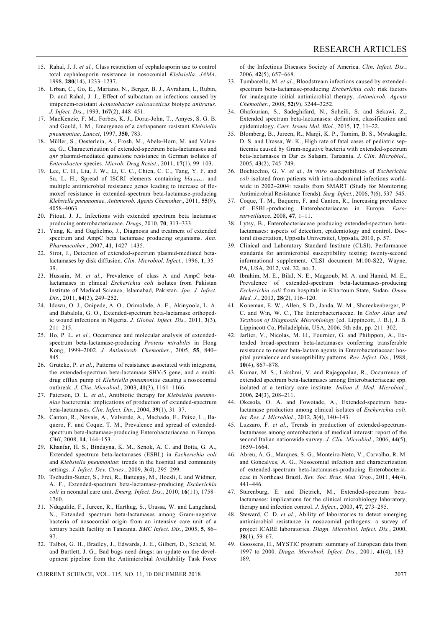- 15. Rahal, J. J. *et al.*, Class restriction of cephalosporin use to control total cephalosporin resistance in nosocomial *Klebsiella*. *JAMA*, 1998, **280**(14), 1233–1237.
- 16. Urban, C., Go, E., Mariano, N., Berger, B. J., Avraham, I., Rubin, D. and Rahal, J. J., Effect of sulbactam on infections caused by imipenem-resistant *Acinetobacter calcoaceticus* biotype *anitratus*. *J. Infect. Dis.*, 1993, **167**(2), 448–451.
- 17. MacKenzie, F. M., Forbes, K. J., Dorai-John, T., Amyes, S. G. B. and Gould, I. M., Emergence of a carbapenem resistant *Klebsiella pneumoniae*. *Lancet*, 1997, **350**, 783.
- 18. Müller, S., Oesterlein, A., Frosh, M., Abele-Horn, M. and Valenza, G., Characterization of extended-spectrum beta-lactamases and *qnr* plasmid-mediated quinolone resistance in German isolates of *Enterobacter* species. *Microb. Drug Resist.*, 2011, **17**(1), 99–103.
- 19. Lee, C. H., Liu, J. W., Li, C. C., Chien, C. C., Tang, Y. F. and Su, L. H., Spread of ISCRI elements containing *bla*<sub>DHA-1</sub> and multiple antimicrobial resistance genes leading to increase of flomoxef resistance in extended-spectrum beta-lactamase-producing *Klebsiella pneumoniae*. *Antimicrob. Agents Chemother*., 2011, **55**(9), 4058–4063.
- 20. Pitout, J. J., Infections with extended spectrum beta lactamase producing enterobacteriaceae. *Drugs*, 2010, **70**, 313–333.
- 21. Yang, K. and Guglielmo, J., Diagnosis and treatment of extended spectrum and AmpC beta lactamase producing organisms. *Ann. Pharmacother*., 2007, **41**, 1427–1435.
- 22. Sirot, J., Detection of extended-spectrum plasmid-mediated betalactamases by disk diffusion. *Clin. Microbiol. Infect.*, 1996, **1**, 35– 39.
- 23. Hussain, M. *et al.*, Prevalence of class A and AmpC betalactamases in clinical *Escherichia coli* isolates from Pakistan Institute of Medical Science, Islamabad, Pakistan. *Jpn. J. Infect. Dis.*, 2011, **64**(3), 249–252.
- 24. Idowu, O. J., Onipede, A. O., Orimolade, A. E., Akinyoola, L. A. and Babalola, G. O., Extended-spectrum beta-lactamase orthopedic wound infections in Nigeria. *J. Global. Infect. Dis.*, 2011, **3**(3), 211–215.
- 25. Ho, P. L. *et al.*, Occurrence and molecular analysis of extendedspectrum beta-lactamase-producing *Proteus mirabilis* in Hong Kong, 1999–2002. *J. Antimicrob. Chemother.*, 2005, **55**, 840– 845.
- 26. Gruteke, P. *et al.*, Patterns of resistance associated with integrons, the extended-spectrum beta-lactamase SHV-5 gene, and a multidrug efflux pump of *Klebsiella pneumoniae* causing a nosocomial outbreak. *J. Clin. Microbiol.*, 2003, **41**(3), 1161–1166.
- 27. Paterson, D. L. *et al.*, Antibiotic therapy for *Klebsiella pneumoniae* bacteremia: implications of production of extended-spectrum beta-lactamases. *Clin. Infect. Dis.*, 2004, **39**(1), 31–37.
- 28. Canton, R., Novais, A., Valverde, A., Machado, E., Peixe, L., Baquero, F. and Coque, T. M., Prevalence and spread of extendedspectrum beta-lactamase-producing Enterobacteriaceae in Europe. *CMI*, 2008, **14**, 144–153.
- 29. Khanfar, H. S., Bindayna, K. M., Senok, A. C. and Botta, G. A., Extended spectrum beta-lactamases (ESBL) in *Escherichia coli*  and *Klebsiella pneumoniae*: trends in the hospital and community settings. *J. Infect. Dev. Ctries.*, 2009, **3**(4), 295–299.
- 30. Tschudin-Sutter, S., Frei, R., Battegay, M., Hoesli, I. and Widmer, A. F., Extended-spectrum beta-lactamase-producing *Escherichia coli* in neonatal care unit. *Emerg. Infect. Dis.*, 2010, **16**(11), 1758– 1760.
- 31. Ndugulile, F., Jureen, R., Harthug, S., Urassa, W. and Langeland, N., Extended spectrum beta-lactamases among Gram-negative bacteria of nosocomial origin from an intensive care unit of a tertiary health facility in Tanzania. *BMC Infect. Dis.*, 2005, **5**, 86– 97.
- 32. Talbot, G. H., Bradley, J., Edwards, J. E., Gilbert, D., Scheld, M. and Bartlett, J. G., Bad bugs need drugs: an update on the development pipeline from the Antimicrobial Availability Task Force

CURRENT SCIENCE, VOL. 115, NO. 11, 10 DECEMBER 2018 2077

of the Infectious Diseases Society of America. *Clin. Infect. Dis.*, 2006, **42**(5), 657–668.

- 33. Tumbarello, M. *et al*., Bloodstream infections caused by extendedspectrum beta-lactamase-producing *Escherichia coli*: risk factors for inadequate initial antimicrobial therapy. *Antimicrob. Agents Chemother.*, 2008, **52**(9), 3244–3252.
- 34. Ghafourian, S., Sadeghifard, N., Soheili, S. and Sekawi, Z., Extended spectrum beta-lactamases: definition, classification and epidemiology. *Curr. Issues Mol. Biol.*, 2015, **17**, 11–22.
- 35. Blomberg, B., Jureen, R., Manji, K. P., Tamim, B. S., Mwakagile, D. S. and Urassa, W. K., High rate of fatal cases of pediatric septicemia caused by Gram-negative bacteria with extended-spectrum beta-lactamases in Dar es Salaam, Tanzania. *J. Clin. Microbiol*., 2005, **43**(2), 745–749.
- 36. Bochicchio, G. V. *et al.*, *In vitro* susceptibilities of *Escherichia coli* isolated from patients with intra-abdominal infections worldwide in 2002–2004: results from SMART (Study for Monitoring Antimicrobial Resistance Trends). *Surg. Infect.*, 2006, **7**(6), 537–545.
- 37. Coque, T. M., Baquero, F. and Canton, R., Increasing prevalence of ESBL-producing Enterobacteriaceae in Europe. *Eurosurveillance*, 2008, **47**, 1–11.
- 38. Lytsy, B., Enterobacteriaceae producing extended-spectrum betalactamases: aspects of detection, epidemiology and control. Doctoral dissertation, Uppsala Universitet, Uppsala, 2010, p. 57.
- 39. Clinical and Laboratory Standard Institute (CLSI), Performance standards for antimicrobial susceptibility testing; twenty-second informational supplement. CLSI document M100-S22, Wayne, PA, USA, 2012, vol. 32, no. 3.
- 40. Ibrahim, M. E., Bilal, N. E., Magzoub, M. A. and Hamid, M. E., Prevalence of extended-spectrum beta-lactamases-producing *Escherichia coli* from hospitals in Khartoum State, Sudan. *Oman Med. J.*, 2013, **28**(2), 116–120.
- 41. Koneman, E. W., Allen, S. D., Janda, W. M., Shcreckenberger, P. C. and Win, W. C., The Enterobacteriaceae. In *Color Atlas and Textbook of Diagnostic Microbiology* (ed. Lippincott, J. B.), J. B. Lippincott Co, Philadelphia, USA, 2006, 5th edn, pp. 211–302.
- 42. Jarlier, V., Nicolas, M. H., Fournier, G. and Philippon, A., Extended broad-spectrum beta-lactamases conferring transferable resistance to newer beta-lactam agents in Enterobacteriaceae: hospital prevalence and susceptibility patterns. *Rev. Infect. Dis.*, 1988, **10**(4), 867–878.
- 43. Kumar, M. S., Lakshmi, V. and Rajagopalan, R., Occurrence of extended spectrum beta-lactamases among Enterobacteriaceae spp. isolated at a tertiary care institute. *Indian J. Med. Microbiol.*, 2006, **24**(3), 208–211.
- 44. Okesola, O. A. and Fowotade, A., Extended-spectrum betalactamase production among clinical isolates of *Escherichia coli*. *Int. Res. J. Microbiol.*, 2012, **3**(4), 140–143.
- 45. Luzzaro, F. *et al.*, Trends in production of extended-spectrumlactamases among enterobacteria of medical interest: report of the second Italian nationwide survey. *J. Clin. Microbiol.*, 2006, **44**(5), 1659–1664.
- 46. Abreu, A. G., Marques, S. G., Monteiro-Neto, V., Carvalho, R. M. and Goncalves, A. G., Nosocomial infection and characterization of extended-spectrum beta-lactamases-producing Enterobacteriaceae in Northeast Brazil. *Rev. Soc. Bras. Med. Trop.*, 2011, **44**(4), 441–446.
- 47. Sturenburg, E. and Dietrich, M., Extended-spectrum betalactamases: implications for the clinical microbiology laboratory, therapy and infection control. *J. Infect.*, 2003, **47**, 273–295.
- 48. Steward, C. D. *et al.*, Ability of laboratories to detect emerging antimicrobial resistance in nosocomial pathogens: a survey of project ICARE laboratories. *Diagn. Microbiol. Infect. Dis.*, 2000, **38**(1), 59–67.
- 49. Goossens, H., MYSTIC program: summary of European data from 1997 to 2000. *Diagn. Microbiol. Infect. Dis.*, 2001, **41**(4), 183– 189.